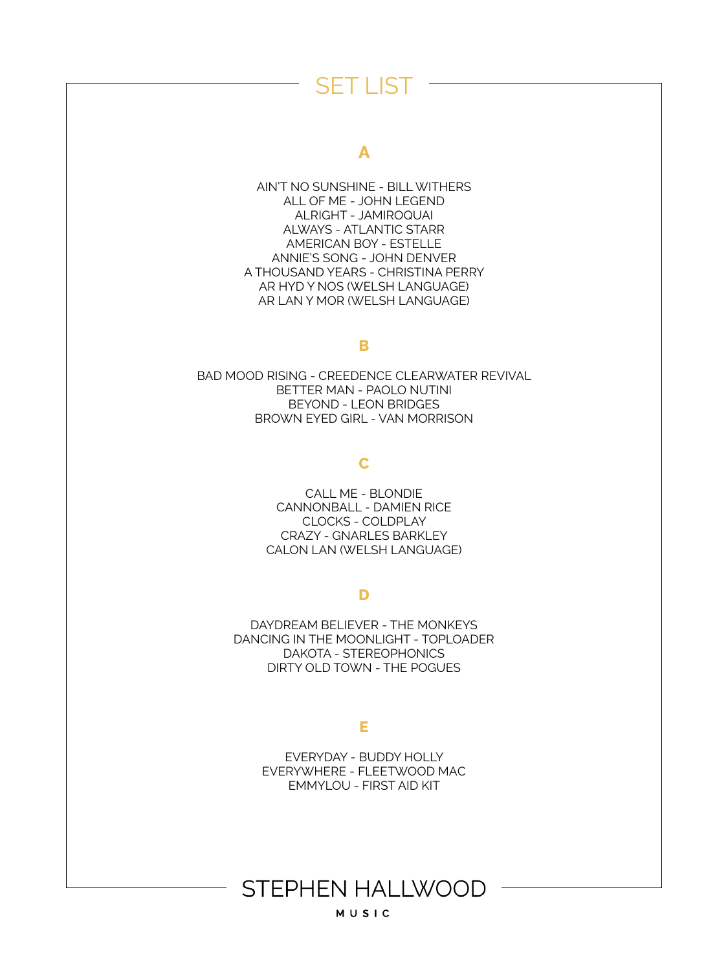## **A**

AIN'T NO SUNSHINE - BILL WITHERS ALL OF ME - JOHN LEGEND ALRIGHT - JAMIROQUAI ALWAYS - ATLANTIC STARR AMERICAN BOY - ESTELLE ANNIE'S SONG - JOHN DENVER A THOUSAND YEARS - CHRISTINA PERRY AR HYD Y NOS (WELSH LANGUAGE) AR LAN Y MOR (WELSH LANGUAGE)

#### **B**

BAD MOOD RISING - CREEDENCE CLEARWATER REVIVAL BETTER MAN - PAOLO NUTINI BEYOND - LEON BRIDGES BROWN EYED GIRL - VAN MORRISON

## **C**

CALL ME - BLONDIE CANNONBALL - DAMIEN RICE CLOCKS - COLDPLAY CRAZY - GNARLES BARKLEY CALON LAN (WELSH LANGUAGE)

### **D**

DAYDREAM BELIEVER - THE MONKEYS DANCING IN THE MOONLIGHT - TOPLOADER DAKOTA - STEREOPHONICS DIRTY OLD TOWN - THE POGUES

### **E**

EVERYDAY - BUDDY HOLLY EVERYWHERE - FLEETWOOD MAC EMMYLOU - FIRST AID KIT

# **STEPHEN HALLWOOD**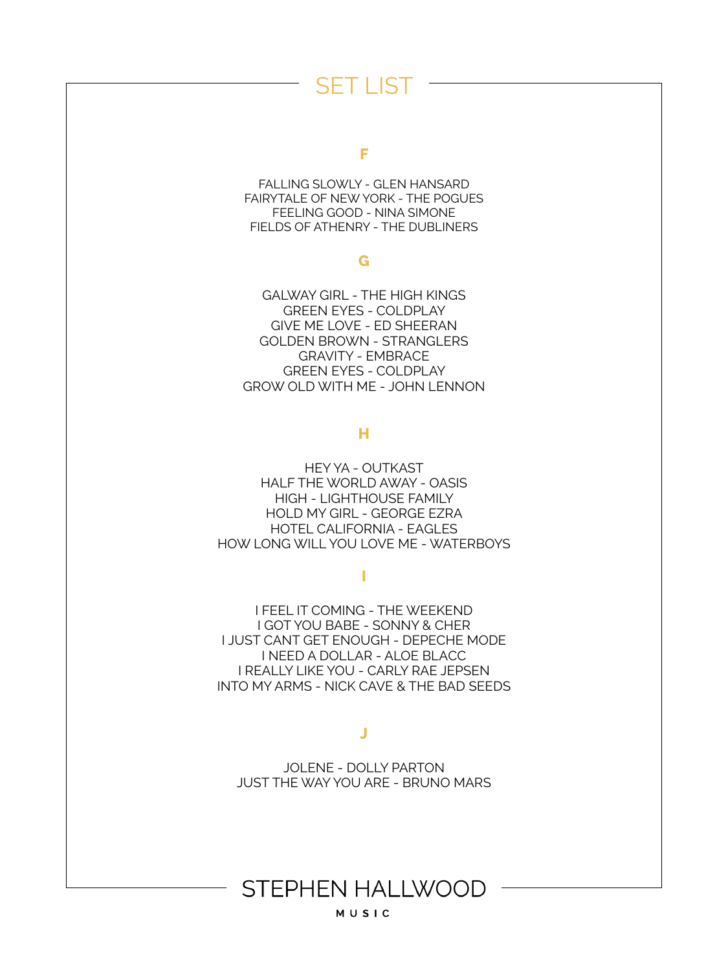#### **F**

FALLING SLOWLY - GLEN HANSARD FAIRYTALE OF NEW YORK - THE POGUES FEELING GOOD - NINA SIMONE FIELDS OF ATHENRY - THE DUBLINERS

#### **G**

GALWAY GIRL - THE HIGH KINGS GREEN EYES - COLDPLAY GIVE ME LOVE - ED SHEERAN GOLDEN BROWN - STRANGLERS GRAVITY - EMBRACE GREEN EYES - COLDPLAY GROW OLD WITH ME - JOHN LENNON

### **H**

HEY YA - OUTKAST HALF THE WORLD AWAY - OASIS HIGH - LIGHTHOUSE FAMILY HOLD MY GIRL - GEORGE EZRA HOTEL CALIFORNIA - EAGLES HOW LONG WILL YOU LOVE ME - WATERBOYS

### **I**

I FEEL IT COMING - THE WEEKEND I GOT YOU BABE - SONNY & CHER I JUST CANT GET ENOUGH - DEPECHE MODE I NEED A DOLLAR - ALOE BLACC I REALLY LIKE YOU - CARLY RAE JEPSEN INTO MY ARMS - NICK CAVE & THE BAD SEEDS

### **J**

JOLENE - DOLLY PARTON JUST THE WAY YOU ARE - BRUNO MARS

# **STEPHEN HALLWOOD**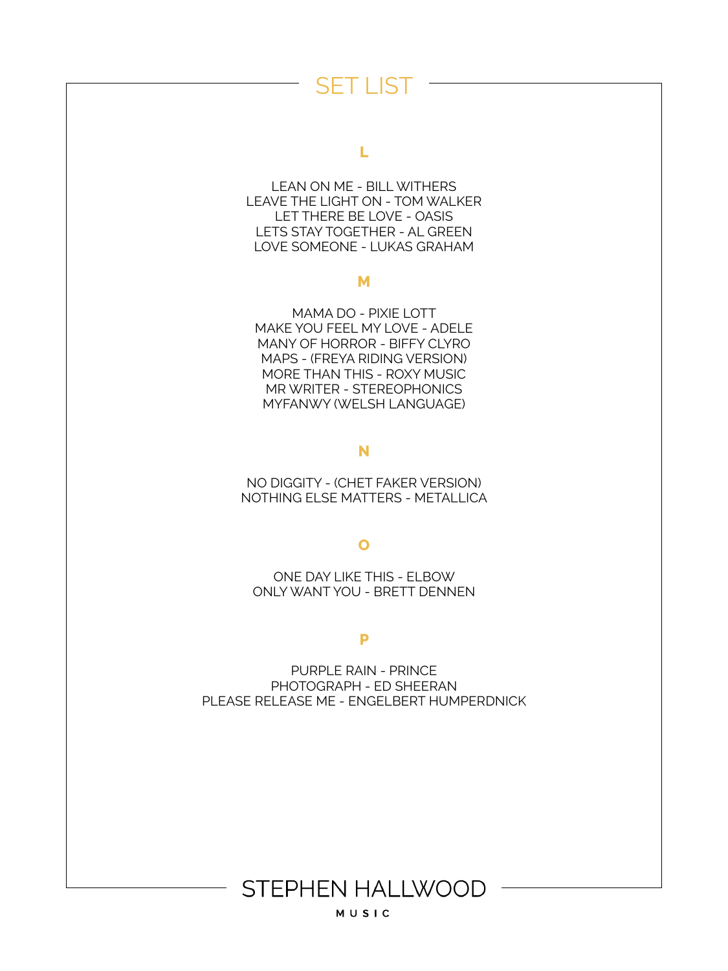#### **L**

LEAN ON ME - BILL WITHERS LEAVE THE LIGHT ON - TOM WALKER LET THERE BE LOVE - OASIS LETS STAY TOGETHER - AL GREEN LOVE SOMEONE - LUKAS GRAHAM

#### **M**

MAMA DO - PIXIE LOTT MAKE YOU FEEL MY LOVE - ADELE MANY OF HORROR - BIFFY CLYRO MAPS - (FREYA RIDING VERSION) MORE THAN THIS - ROXY MUSIC MR WRITER - STEREOPHONICS MYFANWY (WELSH LANGUAGE)

#### **N**

NO DIGGITY - (CHET FAKER VERSION) NOTHING ELSE MATTERS - METALLICA

### **O**

ONE DAY LIKE THIS - ELBOW ONLY WANT YOU - BRETT DENNEN

#### **P**

PURPLE RAIN - PRINCE PHOTOGRAPH - ED SHEERAN PLEASE RELEASE ME - ENGELBERT HUMPERDNICK

# **STEPHEN HALLWOOD**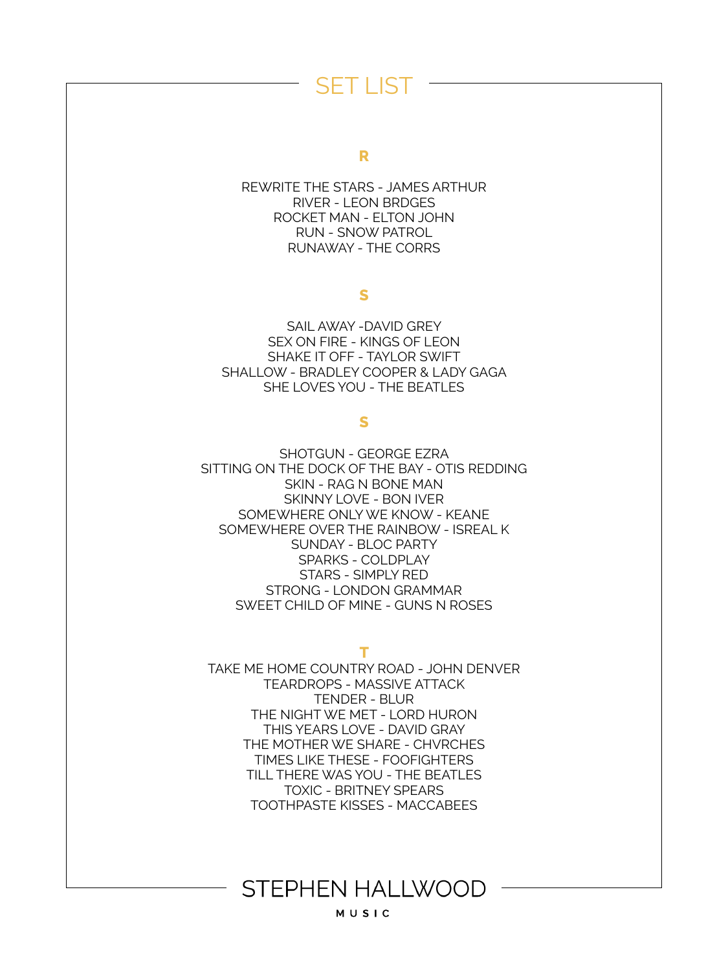#### **R**

REWRITE THE STARS - JAMES ARTHUR RIVER - LEON BRDGES ROCKET MAN - ELTON JOHN RUN - SNOW PATROL RUNAWAY - THE CORRS

#### **S**

SAIL AWAY -DAVID GREY SEX ON FIRE - KINGS OF LEON SHAKE IT OFF - TAYLOR SWIFT SHALLOW - BRADLEY COOPER & LADY GAGA SHE LOVES YOU - THE BEATLES

### **S**

SHOTGUN - GEORGE EZRA SITTING ON THE DOCK OF THE BAY - OTIS REDDING SKIN - RAG N BONE MAN SKINNY LOVE - BON IVER SOMEWHERE ONLY WE KNOW - KEANE SOMEWHERE OVER THE RAINBOW - ISREAL K SUNDAY - BLOC PARTY SPARKS - COLDPLAY STARS - SIMPLY RED STRONG - LONDON GRAMMAR SWEET CHILD OF MINE - GUNS N ROSES

#### **T**

TAKE ME HOME COUNTRY ROAD - JOHN DENVER TEARDROPS - MASSIVE ATTACK TENDER - BLUR THE NIGHT WE MET - LORD HURON THIS YEARS LOVE - DAVID GRAY THE MOTHER WE SHARE - CHVRCHES TIMES LIKE THESE - FOOFIGHTERS TILL THERE WAS YOU - THE BEATLES TOXIC - BRITNEY SPEARS TOOTHPASTE KISSES - MACCABEES

## **STEPHEN HALLWOOD**